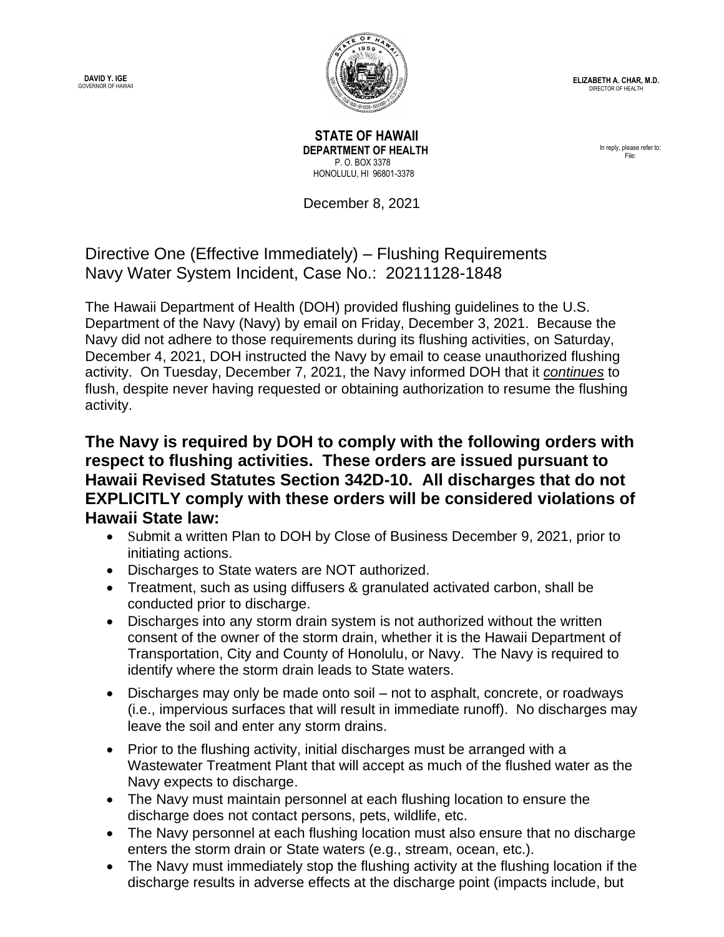**DAVID Y. IGE** GOVERNOR OF HAWAII



**ELIZABETH A. CHAR, M.D.** DIRECTOR OF HEALTH

 **STATE OF HAWAII DEPARTMENT OF HEALTH** P. O. BOX 3378 HONOLULU, HI 96801-3378

December 8, 2021

## Directive One (Effective Immediately) – Flushing Requirements Navy Water System Incident, Case No.: 20211128-1848

The Hawaii Department of Health (DOH) provided flushing guidelines to the U.S. Department of the Navy (Navy) by email on Friday, December 3, 2021. Because the Navy did not adhere to those requirements during its flushing activities, on Saturday, December 4, 2021, DOH instructed the Navy by email to cease unauthorized flushing activity. On Tuesday, December 7, 2021, the Navy informed DOH that it *continues* to flush, despite never having requested or obtaining authorization to resume the flushing activity.

**The Navy is required by DOH to comply with the following orders with respect to flushing activities. These orders are issued pursuant to Hawaii Revised Statutes Section 342D-10. All discharges that do not EXPLICITLY comply with these orders will be considered violations of Hawaii State law:**

- Submit a written Plan to DOH by Close of Business December 9, 2021, prior to initiating actions.
- Discharges to State waters are NOT authorized.
- Treatment, such as using diffusers & granulated activated carbon, shall be conducted prior to discharge.
- Discharges into any storm drain system is not authorized without the written consent of the owner of the storm drain, whether it is the Hawaii Department of Transportation, City and County of Honolulu, or Navy. The Navy is required to identify where the storm drain leads to State waters.
- Discharges may only be made onto soil not to asphalt, concrete, or roadways (i.e., impervious surfaces that will result in immediate runoff). No discharges may leave the soil and enter any storm drains.
- Prior to the flushing activity, initial discharges must be arranged with a Wastewater Treatment Plant that will accept as much of the flushed water as the Navy expects to discharge.
- The Navy must maintain personnel at each flushing location to ensure the discharge does not contact persons, pets, wildlife, etc.
- The Navy personnel at each flushing location must also ensure that no discharge enters the storm drain or State waters (e.g., stream, ocean, etc.).
- The Navy must immediately stop the flushing activity at the flushing location if the discharge results in adverse effects at the discharge point (impacts include, but

In reply, please refer to: File: